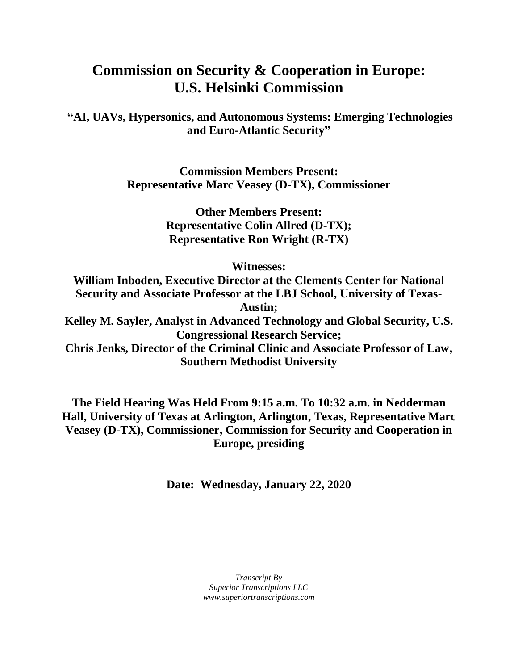## **Commission on Security & Cooperation in Europe: U.S. Helsinki Commission**

**"AI, UAVs, Hypersonics, and Autonomous Systems: Emerging Technologies and Euro-Atlantic Security"**

> **Commission Members Present: Representative Marc Veasey (D-TX), Commissioner**

> > **Other Members Present: Representative Colin Allred (D-TX); Representative Ron Wright (R-TX)**

> > > **Witnesses:**

**William Inboden, Executive Director at the Clements Center for National Security and Associate Professor at the LBJ School, University of Texas-Austin; Kelley M. Sayler, Analyst in Advanced Technology and Global Security, U.S. Congressional Research Service; Chris Jenks, Director of the Criminal Clinic and Associate Professor of Law, Southern Methodist University**

**The Field Hearing Was Held From 9:15 a.m. To 10:32 a.m. in Nedderman Hall, University of Texas at Arlington, Arlington, Texas, Representative Marc Veasey (D-TX), Commissioner, Commission for Security and Cooperation in Europe, presiding**

**Date: Wednesday, January 22, 2020**

*Transcript By Superior Transcriptions LLC www.superiortranscriptions.com*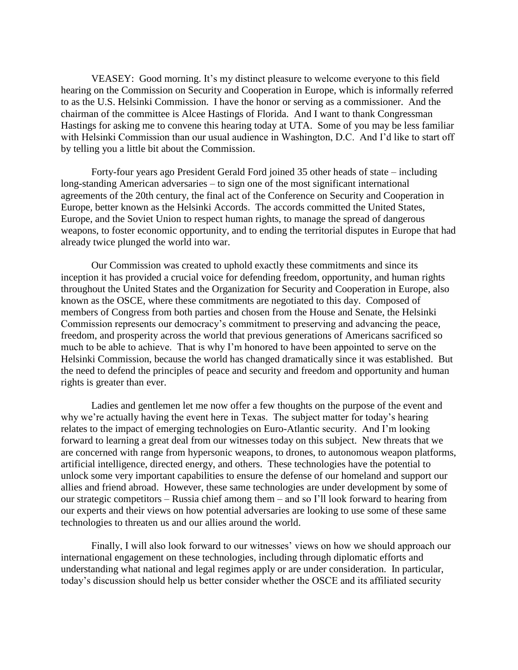VEASEY: Good morning. It's my distinct pleasure to welcome everyone to this field hearing on the Commission on Security and Cooperation in Europe, which is informally referred to as the U.S. Helsinki Commission. I have the honor or serving as a commissioner. And the chairman of the committee is Alcee Hastings of Florida. And I want to thank Congressman Hastings for asking me to convene this hearing today at UTA. Some of you may be less familiar with Helsinki Commission than our usual audience in Washington, D.C. And I'd like to start off by telling you a little bit about the Commission.

Forty-four years ago President Gerald Ford joined 35 other heads of state – including long-standing American adversaries – to sign one of the most significant international agreements of the 20th century, the final act of the Conference on Security and Cooperation in Europe, better known as the Helsinki Accords. The accords committed the United States, Europe, and the Soviet Union to respect human rights, to manage the spread of dangerous weapons, to foster economic opportunity, and to ending the territorial disputes in Europe that had already twice plunged the world into war.

Our Commission was created to uphold exactly these commitments and since its inception it has provided a crucial voice for defending freedom, opportunity, and human rights throughout the United States and the Organization for Security and Cooperation in Europe, also known as the OSCE, where these commitments are negotiated to this day. Composed of members of Congress from both parties and chosen from the House and Senate, the Helsinki Commission represents our democracy's commitment to preserving and advancing the peace, freedom, and prosperity across the world that previous generations of Americans sacrificed so much to be able to achieve. That is why I'm honored to have been appointed to serve on the Helsinki Commission, because the world has changed dramatically since it was established. But the need to defend the principles of peace and security and freedom and opportunity and human rights is greater than ever.

Ladies and gentlemen let me now offer a few thoughts on the purpose of the event and why we're actually having the event here in Texas. The subject matter for today's hearing relates to the impact of emerging technologies on Euro-Atlantic security. And I'm looking forward to learning a great deal from our witnesses today on this subject. New threats that we are concerned with range from hypersonic weapons, to drones, to autonomous weapon platforms, artificial intelligence, directed energy, and others. These technologies have the potential to unlock some very important capabilities to ensure the defense of our homeland and support our allies and friend abroad. However, these same technologies are under development by some of our strategic competitors – Russia chief among them – and so I'll look forward to hearing from our experts and their views on how potential adversaries are looking to use some of these same technologies to threaten us and our allies around the world.

Finally, I will also look forward to our witnesses' views on how we should approach our international engagement on these technologies, including through diplomatic efforts and understanding what national and legal regimes apply or are under consideration. In particular, today's discussion should help us better consider whether the OSCE and its affiliated security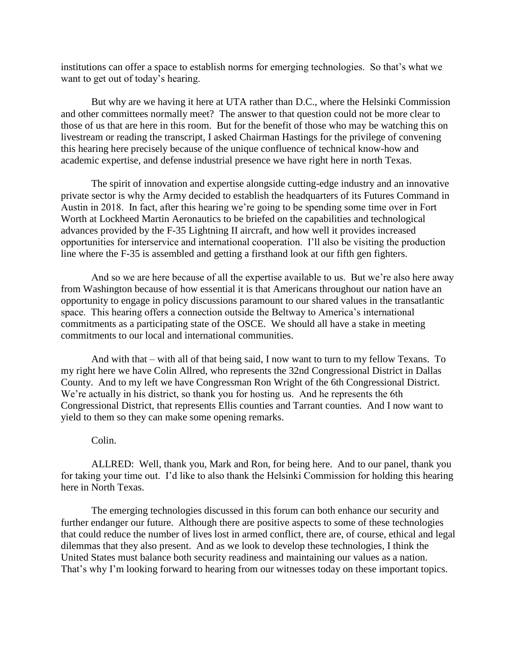institutions can offer a space to establish norms for emerging technologies. So that's what we want to get out of today's hearing.

But why are we having it here at UTA rather than D.C., where the Helsinki Commission and other committees normally meet? The answer to that question could not be more clear to those of us that are here in this room. But for the benefit of those who may be watching this on livestream or reading the transcript, I asked Chairman Hastings for the privilege of convening this hearing here precisely because of the unique confluence of technical know-how and academic expertise, and defense industrial presence we have right here in north Texas.

The spirit of innovation and expertise alongside cutting-edge industry and an innovative private sector is why the Army decided to establish the headquarters of its Futures Command in Austin in 2018. In fact, after this hearing we're going to be spending some time over in Fort Worth at Lockheed Martin Aeronautics to be briefed on the capabilities and technological advances provided by the F-35 Lightning II aircraft, and how well it provides increased opportunities for interservice and international cooperation. I'll also be visiting the production line where the F-35 is assembled and getting a firsthand look at our fifth gen fighters.

And so we are here because of all the expertise available to us. But we're also here away from Washington because of how essential it is that Americans throughout our nation have an opportunity to engage in policy discussions paramount to our shared values in the transatlantic space. This hearing offers a connection outside the Beltway to America's international commitments as a participating state of the OSCE. We should all have a stake in meeting commitments to our local and international communities.

And with that – with all of that being said, I now want to turn to my fellow Texans. To my right here we have Colin Allred, who represents the 32nd Congressional District in Dallas County. And to my left we have Congressman Ron Wright of the 6th Congressional District. We're actually in his district, so thank you for hosting us. And he represents the 6th Congressional District, that represents Ellis counties and Tarrant counties. And I now want to yield to them so they can make some opening remarks.

## Colin.

ALLRED: Well, thank you, Mark and Ron, for being here. And to our panel, thank you for taking your time out. I'd like to also thank the Helsinki Commission for holding this hearing here in North Texas.

The emerging technologies discussed in this forum can both enhance our security and further endanger our future. Although there are positive aspects to some of these technologies that could reduce the number of lives lost in armed conflict, there are, of course, ethical and legal dilemmas that they also present. And as we look to develop these technologies, I think the United States must balance both security readiness and maintaining our values as a nation. That's why I'm looking forward to hearing from our witnesses today on these important topics.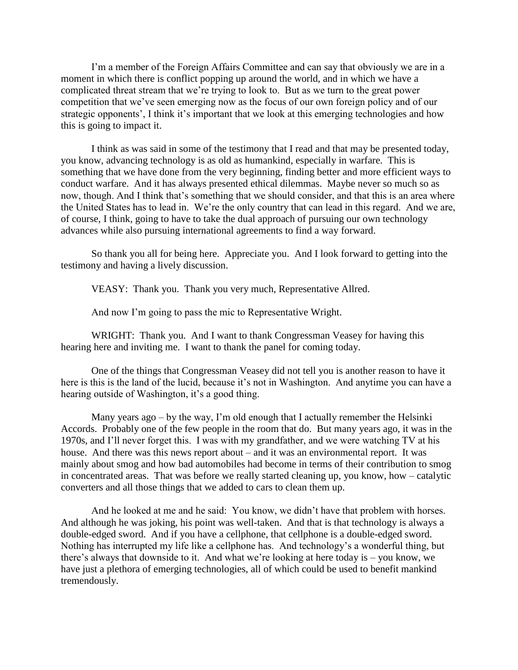I'm a member of the Foreign Affairs Committee and can say that obviously we are in a moment in which there is conflict popping up around the world, and in which we have a complicated threat stream that we're trying to look to. But as we turn to the great power competition that we've seen emerging now as the focus of our own foreign policy and of our strategic opponents', I think it's important that we look at this emerging technologies and how this is going to impact it.

I think as was said in some of the testimony that I read and that may be presented today, you know, advancing technology is as old as humankind, especially in warfare. This is something that we have done from the very beginning, finding better and more efficient ways to conduct warfare. And it has always presented ethical dilemmas. Maybe never so much so as now, though. And I think that's something that we should consider, and that this is an area where the United States has to lead in. We're the only country that can lead in this regard. And we are, of course, I think, going to have to take the dual approach of pursuing our own technology advances while also pursuing international agreements to find a way forward.

So thank you all for being here. Appreciate you. And I look forward to getting into the testimony and having a lively discussion.

VEASY: Thank you. Thank you very much, Representative Allred.

And now I'm going to pass the mic to Representative Wright.

WRIGHT: Thank you. And I want to thank Congressman Veasey for having this hearing here and inviting me. I want to thank the panel for coming today.

One of the things that Congressman Veasey did not tell you is another reason to have it here is this is the land of the lucid, because it's not in Washington. And anytime you can have a hearing outside of Washington, it's a good thing.

Many years ago – by the way, I'm old enough that I actually remember the Helsinki Accords. Probably one of the few people in the room that do. But many years ago, it was in the 1970s, and I'll never forget this. I was with my grandfather, and we were watching TV at his house. And there was this news report about – and it was an environmental report. It was mainly about smog and how bad automobiles had become in terms of their contribution to smog in concentrated areas. That was before we really started cleaning up, you know, how – catalytic converters and all those things that we added to cars to clean them up.

And he looked at me and he said: You know, we didn't have that problem with horses. And although he was joking, his point was well-taken. And that is that technology is always a double-edged sword. And if you have a cellphone, that cellphone is a double-edged sword. Nothing has interrupted my life like a cellphone has. And technology's a wonderful thing, but there's always that downside to it. And what we're looking at here today is – you know, we have just a plethora of emerging technologies, all of which could be used to benefit mankind tremendously.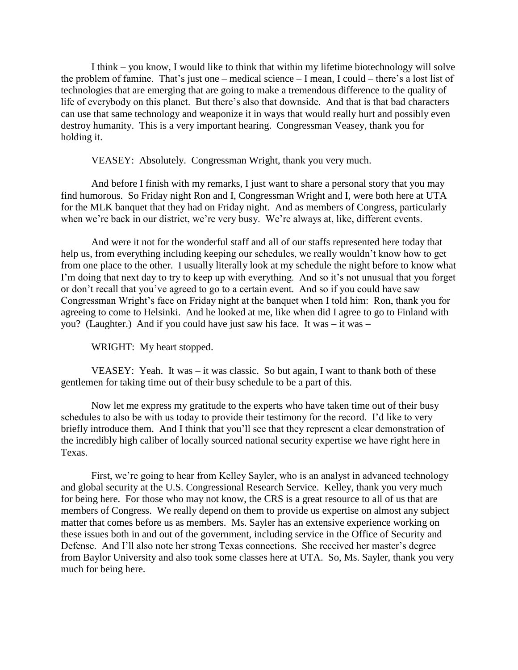I think – you know, I would like to think that within my lifetime biotechnology will solve the problem of famine. That's just one – medical science – I mean, I could – there's a lost list of technologies that are emerging that are going to make a tremendous difference to the quality of life of everybody on this planet. But there's also that downside. And that is that bad characters can use that same technology and weaponize it in ways that would really hurt and possibly even destroy humanity. This is a very important hearing. Congressman Veasey, thank you for holding it.

VEASEY: Absolutely. Congressman Wright, thank you very much.

And before I finish with my remarks, I just want to share a personal story that you may find humorous. So Friday night Ron and I, Congressman Wright and I, were both here at UTA for the MLK banquet that they had on Friday night. And as members of Congress, particularly when we're back in our district, we're very busy. We're always at, like, different events.

And were it not for the wonderful staff and all of our staffs represented here today that help us, from everything including keeping our schedules, we really wouldn't know how to get from one place to the other. I usually literally look at my schedule the night before to know what I'm doing that next day to try to keep up with everything. And so it's not unusual that you forget or don't recall that you've agreed to go to a certain event. And so if you could have saw Congressman Wright's face on Friday night at the banquet when I told him: Ron, thank you for agreeing to come to Helsinki. And he looked at me, like when did I agree to go to Finland with you? (Laughter.) And if you could have just saw his face. It was – it was –

WRIGHT: My heart stopped.

VEASEY: Yeah. It was – it was classic. So but again, I want to thank both of these gentlemen for taking time out of their busy schedule to be a part of this.

Now let me express my gratitude to the experts who have taken time out of their busy schedules to also be with us today to provide their testimony for the record. I'd like to very briefly introduce them. And I think that you'll see that they represent a clear demonstration of the incredibly high caliber of locally sourced national security expertise we have right here in Texas.

First, we're going to hear from Kelley Sayler, who is an analyst in advanced technology and global security at the U.S. Congressional Research Service. Kelley, thank you very much for being here. For those who may not know, the CRS is a great resource to all of us that are members of Congress. We really depend on them to provide us expertise on almost any subject matter that comes before us as members. Ms. Sayler has an extensive experience working on these issues both in and out of the government, including service in the Office of Security and Defense. And I'll also note her strong Texas connections. She received her master's degree from Baylor University and also took some classes here at UTA. So, Ms. Sayler, thank you very much for being here.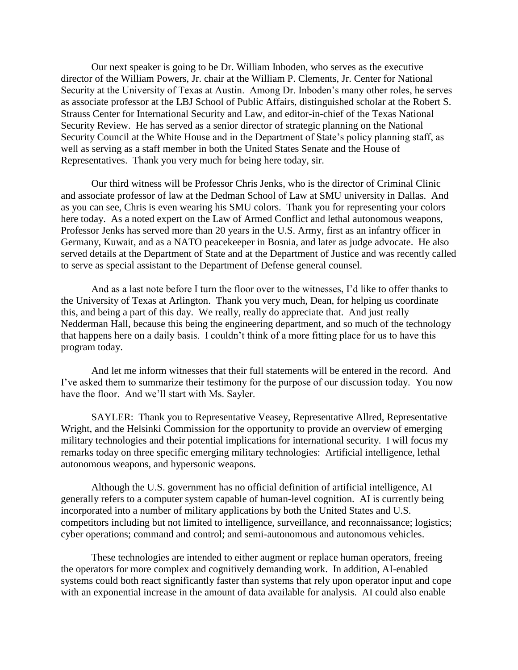Our next speaker is going to be Dr. William Inboden, who serves as the executive director of the William Powers, Jr. chair at the William P. Clements, Jr. Center for National Security at the University of Texas at Austin. Among Dr. Inboden's many other roles, he serves as associate professor at the LBJ School of Public Affairs, distinguished scholar at the Robert S. Strauss Center for International Security and Law, and editor-in-chief of the Texas National Security Review. He has served as a senior director of strategic planning on the National Security Council at the White House and in the Department of State's policy planning staff, as well as serving as a staff member in both the United States Senate and the House of Representatives. Thank you very much for being here today, sir.

Our third witness will be Professor Chris Jenks, who is the director of Criminal Clinic and associate professor of law at the Dedman School of Law at SMU university in Dallas. And as you can see, Chris is even wearing his SMU colors. Thank you for representing your colors here today. As a noted expert on the Law of Armed Conflict and lethal autonomous weapons, Professor Jenks has served more than 20 years in the U.S. Army, first as an infantry officer in Germany, Kuwait, and as a NATO peacekeeper in Bosnia, and later as judge advocate. He also served details at the Department of State and at the Department of Justice and was recently called to serve as special assistant to the Department of Defense general counsel.

And as a last note before I turn the floor over to the witnesses, I'd like to offer thanks to the University of Texas at Arlington. Thank you very much, Dean, for helping us coordinate this, and being a part of this day. We really, really do appreciate that. And just really Nedderman Hall, because this being the engineering department, and so much of the technology that happens here on a daily basis. I couldn't think of a more fitting place for us to have this program today.

And let me inform witnesses that their full statements will be entered in the record. And I've asked them to summarize their testimony for the purpose of our discussion today. You now have the floor. And we'll start with Ms. Sayler.

SAYLER: Thank you to Representative Veasey, Representative Allred, Representative Wright, and the Helsinki Commission for the opportunity to provide an overview of emerging military technologies and their potential implications for international security. I will focus my remarks today on three specific emerging military technologies: Artificial intelligence, lethal autonomous weapons, and hypersonic weapons.

Although the U.S. government has no official definition of artificial intelligence, AI generally refers to a computer system capable of human-level cognition. AI is currently being incorporated into a number of military applications by both the United States and U.S. competitors including but not limited to intelligence, surveillance, and reconnaissance; logistics; cyber operations; command and control; and semi-autonomous and autonomous vehicles.

These technologies are intended to either augment or replace human operators, freeing the operators for more complex and cognitively demanding work. In addition, AI-enabled systems could both react significantly faster than systems that rely upon operator input and cope with an exponential increase in the amount of data available for analysis. AI could also enable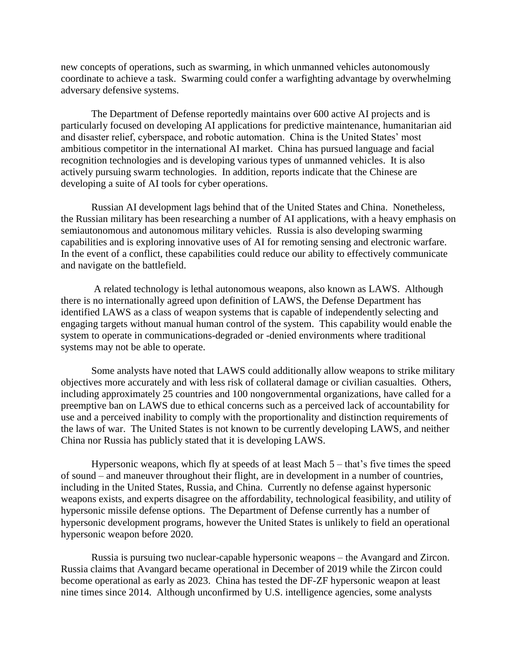new concepts of operations, such as swarming, in which unmanned vehicles autonomously coordinate to achieve a task. Swarming could confer a warfighting advantage by overwhelming adversary defensive systems.

The Department of Defense reportedly maintains over 600 active AI projects and is particularly focused on developing AI applications for predictive maintenance, humanitarian aid and disaster relief, cyberspace, and robotic automation. China is the United States' most ambitious competitor in the international AI market. China has pursued language and facial recognition technologies and is developing various types of unmanned vehicles. It is also actively pursuing swarm technologies. In addition, reports indicate that the Chinese are developing a suite of AI tools for cyber operations.

Russian AI development lags behind that of the United States and China. Nonetheless, the Russian military has been researching a number of AI applications, with a heavy emphasis on semiautonomous and autonomous military vehicles. Russia is also developing swarming capabilities and is exploring innovative uses of AI for remoting sensing and electronic warfare. In the event of a conflict, these capabilities could reduce our ability to effectively communicate and navigate on the battlefield.

A related technology is lethal autonomous weapons, also known as LAWS. Although there is no internationally agreed upon definition of LAWS, the Defense Department has identified LAWS as a class of weapon systems that is capable of independently selecting and engaging targets without manual human control of the system. This capability would enable the system to operate in communications-degraded or -denied environments where traditional systems may not be able to operate.

Some analysts have noted that LAWS could additionally allow weapons to strike military objectives more accurately and with less risk of collateral damage or civilian casualties. Others, including approximately 25 countries and 100 nongovernmental organizations, have called for a preemptive ban on LAWS due to ethical concerns such as a perceived lack of accountability for use and a perceived inability to comply with the proportionality and distinction requirements of the laws of war. The United States is not known to be currently developing LAWS, and neither China nor Russia has publicly stated that it is developing LAWS.

Hypersonic weapons, which fly at speeds of at least Mach 5 – that's five times the speed of sound – and maneuver throughout their flight, are in development in a number of countries, including in the United States, Russia, and China. Currently no defense against hypersonic weapons exists, and experts disagree on the affordability, technological feasibility, and utility of hypersonic missile defense options. The Department of Defense currently has a number of hypersonic development programs, however the United States is unlikely to field an operational hypersonic weapon before 2020.

Russia is pursuing two nuclear-capable hypersonic weapons – the Avangard and Zircon. Russia claims that Avangard became operational in December of 2019 while the Zircon could become operational as early as 2023. China has tested the DF-ZF hypersonic weapon at least nine times since 2014. Although unconfirmed by U.S. intelligence agencies, some analysts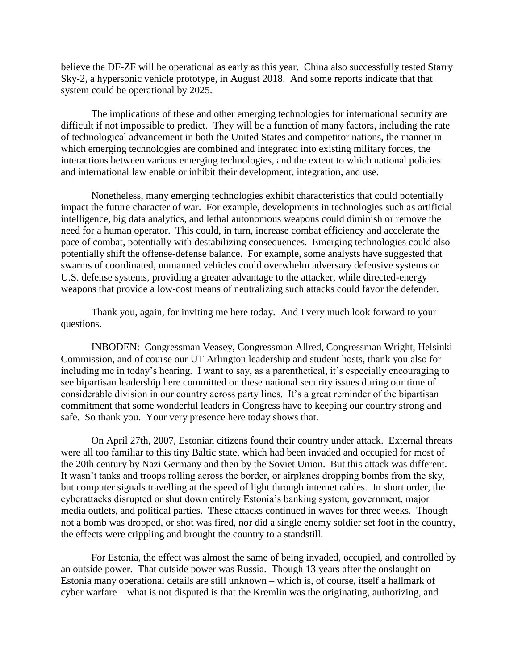believe the DF-ZF will be operational as early as this year. China also successfully tested Starry Sky-2, a hypersonic vehicle prototype, in August 2018. And some reports indicate that that system could be operational by 2025.

The implications of these and other emerging technologies for international security are difficult if not impossible to predict. They will be a function of many factors, including the rate of technological advancement in both the United States and competitor nations, the manner in which emerging technologies are combined and integrated into existing military forces, the interactions between various emerging technologies, and the extent to which national policies and international law enable or inhibit their development, integration, and use.

Nonetheless, many emerging technologies exhibit characteristics that could potentially impact the future character of war. For example, developments in technologies such as artificial intelligence, big data analytics, and lethal autonomous weapons could diminish or remove the need for a human operator. This could, in turn, increase combat efficiency and accelerate the pace of combat, potentially with destabilizing consequences. Emerging technologies could also potentially shift the offense-defense balance. For example, some analysts have suggested that swarms of coordinated, unmanned vehicles could overwhelm adversary defensive systems or U.S. defense systems, providing a greater advantage to the attacker, while directed-energy weapons that provide a low-cost means of neutralizing such attacks could favor the defender.

Thank you, again, for inviting me here today. And I very much look forward to your questions.

INBODEN: Congressman Veasey, Congressman Allred, Congressman Wright, Helsinki Commission, and of course our UT Arlington leadership and student hosts, thank you also for including me in today's hearing. I want to say, as a parenthetical, it's especially encouraging to see bipartisan leadership here committed on these national security issues during our time of considerable division in our country across party lines. It's a great reminder of the bipartisan commitment that some wonderful leaders in Congress have to keeping our country strong and safe. So thank you. Your very presence here today shows that.

On April 27th, 2007, Estonian citizens found their country under attack. External threats were all too familiar to this tiny Baltic state, which had been invaded and occupied for most of the 20th century by Nazi Germany and then by the Soviet Union. But this attack was different. It wasn't tanks and troops rolling across the border, or airplanes dropping bombs from the sky, but computer signals travelling at the speed of light through internet cables. In short order, the cyberattacks disrupted or shut down entirely Estonia's banking system, government, major media outlets, and political parties. These attacks continued in waves for three weeks. Though not a bomb was dropped, or shot was fired, nor did a single enemy soldier set foot in the country, the effects were crippling and brought the country to a standstill.

For Estonia, the effect was almost the same of being invaded, occupied, and controlled by an outside power. That outside power was Russia. Though 13 years after the onslaught on Estonia many operational details are still unknown – which is, of course, itself a hallmark of cyber warfare – what is not disputed is that the Kremlin was the originating, authorizing, and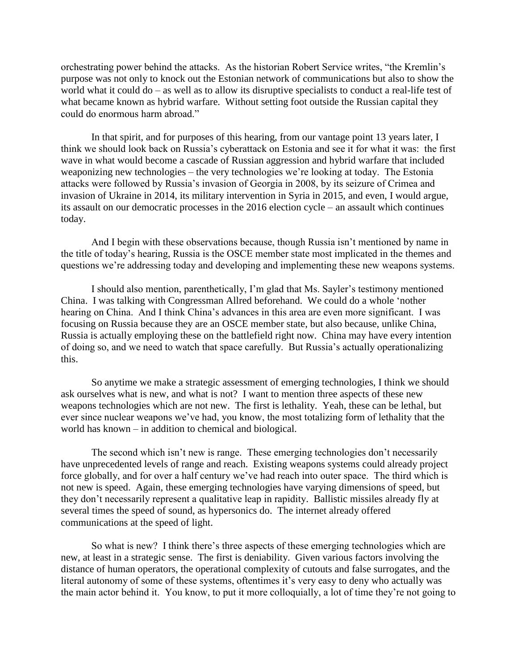orchestrating power behind the attacks. As the historian Robert Service writes, "the Kremlin's purpose was not only to knock out the Estonian network of communications but also to show the world what it could do – as well as to allow its disruptive specialists to conduct a real-life test of what became known as hybrid warfare. Without setting foot outside the Russian capital they could do enormous harm abroad."

In that spirit, and for purposes of this hearing, from our vantage point 13 years later, I think we should look back on Russia's cyberattack on Estonia and see it for what it was: the first wave in what would become a cascade of Russian aggression and hybrid warfare that included weaponizing new technologies – the very technologies we're looking at today. The Estonia attacks were followed by Russia's invasion of Georgia in 2008, by its seizure of Crimea and invasion of Ukraine in 2014, its military intervention in Syria in 2015, and even, I would argue, its assault on our democratic processes in the 2016 election cycle – an assault which continues today.

And I begin with these observations because, though Russia isn't mentioned by name in the title of today's hearing, Russia is the OSCE member state most implicated in the themes and questions we're addressing today and developing and implementing these new weapons systems.

I should also mention, parenthetically, I'm glad that Ms. Sayler's testimony mentioned China. I was talking with Congressman Allred beforehand. We could do a whole 'nother hearing on China. And I think China's advances in this area are even more significant. I was focusing on Russia because they are an OSCE member state, but also because, unlike China, Russia is actually employing these on the battlefield right now. China may have every intention of doing so, and we need to watch that space carefully. But Russia's actually operationalizing this.

So anytime we make a strategic assessment of emerging technologies, I think we should ask ourselves what is new, and what is not? I want to mention three aspects of these new weapons technologies which are not new. The first is lethality. Yeah, these can be lethal, but ever since nuclear weapons we've had, you know, the most totalizing form of lethality that the world has known – in addition to chemical and biological.

The second which isn't new is range. These emerging technologies don't necessarily have unprecedented levels of range and reach. Existing weapons systems could already project force globally, and for over a half century we've had reach into outer space. The third which is not new is speed. Again, these emerging technologies have varying dimensions of speed, but they don't necessarily represent a qualitative leap in rapidity. Ballistic missiles already fly at several times the speed of sound, as hypersonics do. The internet already offered communications at the speed of light.

So what is new? I think there's three aspects of these emerging technologies which are new, at least in a strategic sense. The first is deniability. Given various factors involving the distance of human operators, the operational complexity of cutouts and false surrogates, and the literal autonomy of some of these systems, oftentimes it's very easy to deny who actually was the main actor behind it. You know, to put it more colloquially, a lot of time they're not going to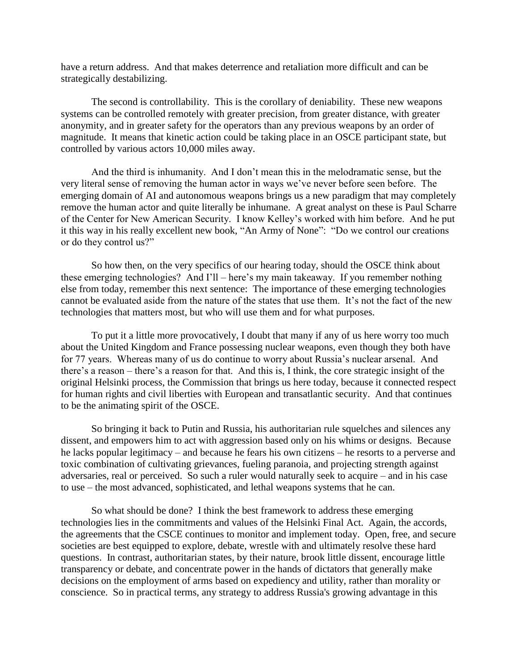have a return address. And that makes deterrence and retaliation more difficult and can be strategically destabilizing.

The second is controllability. This is the corollary of deniability. These new weapons systems can be controlled remotely with greater precision, from greater distance, with greater anonymity, and in greater safety for the operators than any previous weapons by an order of magnitude. It means that kinetic action could be taking place in an OSCE participant state, but controlled by various actors 10,000 miles away.

And the third is inhumanity. And I don't mean this in the melodramatic sense, but the very literal sense of removing the human actor in ways we've never before seen before. The emerging domain of AI and autonomous weapons brings us a new paradigm that may completely remove the human actor and quite literally be inhumane. A great analyst on these is Paul Scharre of the Center for New American Security. I know Kelley's worked with him before. And he put it this way in his really excellent new book, "An Army of None": "Do we control our creations or do they control us?"

So how then, on the very specifics of our hearing today, should the OSCE think about these emerging technologies? And I'll – here's my main takeaway. If you remember nothing else from today, remember this next sentence: The importance of these emerging technologies cannot be evaluated aside from the nature of the states that use them. It's not the fact of the new technologies that matters most, but who will use them and for what purposes.

To put it a little more provocatively, I doubt that many if any of us here worry too much about the United Kingdom and France possessing nuclear weapons, even though they both have for 77 years. Whereas many of us do continue to worry about Russia's nuclear arsenal. And there's a reason – there's a reason for that. And this is, I think, the core strategic insight of the original Helsinki process, the Commission that brings us here today, because it connected respect for human rights and civil liberties with European and transatlantic security. And that continues to be the animating spirit of the OSCE.

So bringing it back to Putin and Russia, his authoritarian rule squelches and silences any dissent, and empowers him to act with aggression based only on his whims or designs. Because he lacks popular legitimacy – and because he fears his own citizens – he resorts to a perverse and toxic combination of cultivating grievances, fueling paranoia, and projecting strength against adversaries, real or perceived. So such a ruler would naturally seek to acquire – and in his case to use – the most advanced, sophisticated, and lethal weapons systems that he can.

So what should be done? I think the best framework to address these emerging technologies lies in the commitments and values of the Helsinki Final Act. Again, the accords, the agreements that the CSCE continues to monitor and implement today. Open, free, and secure societies are best equipped to explore, debate, wrestle with and ultimately resolve these hard questions. In contrast, authoritarian states, by their nature, brook little dissent, encourage little transparency or debate, and concentrate power in the hands of dictators that generally make decisions on the employment of arms based on expediency and utility, rather than morality or conscience. So in practical terms, any strategy to address Russia's growing advantage in this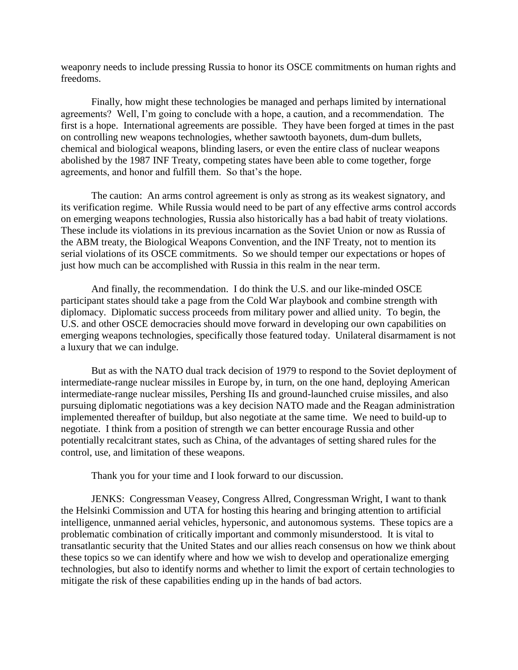weaponry needs to include pressing Russia to honor its OSCE commitments on human rights and freedoms.

Finally, how might these technologies be managed and perhaps limited by international agreements? Well, I'm going to conclude with a hope, a caution, and a recommendation. The first is a hope. International agreements are possible. They have been forged at times in the past on controlling new weapons technologies, whether sawtooth bayonets, dum-dum bullets, chemical and biological weapons, blinding lasers, or even the entire class of nuclear weapons abolished by the 1987 INF Treaty, competing states have been able to come together, forge agreements, and honor and fulfill them. So that's the hope.

The caution: An arms control agreement is only as strong as its weakest signatory, and its verification regime. While Russia would need to be part of any effective arms control accords on emerging weapons technologies, Russia also historically has a bad habit of treaty violations. These include its violations in its previous incarnation as the Soviet Union or now as Russia of the ABM treaty, the Biological Weapons Convention, and the INF Treaty, not to mention its serial violations of its OSCE commitments. So we should temper our expectations or hopes of just how much can be accomplished with Russia in this realm in the near term.

And finally, the recommendation. I do think the U.S. and our like-minded OSCE participant states should take a page from the Cold War playbook and combine strength with diplomacy. Diplomatic success proceeds from military power and allied unity. To begin, the U.S. and other OSCE democracies should move forward in developing our own capabilities on emerging weapons technologies, specifically those featured today. Unilateral disarmament is not a luxury that we can indulge.

But as with the NATO dual track decision of 1979 to respond to the Soviet deployment of intermediate-range nuclear missiles in Europe by, in turn, on the one hand, deploying American intermediate-range nuclear missiles, Pershing IIs and ground-launched cruise missiles, and also pursuing diplomatic negotiations was a key decision NATO made and the Reagan administration implemented thereafter of buildup, but also negotiate at the same time. We need to build-up to negotiate. I think from a position of strength we can better encourage Russia and other potentially recalcitrant states, such as China, of the advantages of setting shared rules for the control, use, and limitation of these weapons.

Thank you for your time and I look forward to our discussion.

JENKS: Congressman Veasey, Congress Allred, Congressman Wright, I want to thank the Helsinki Commission and UTA for hosting this hearing and bringing attention to artificial intelligence, unmanned aerial vehicles, hypersonic, and autonomous systems. These topics are a problematic combination of critically important and commonly misunderstood. It is vital to transatlantic security that the United States and our allies reach consensus on how we think about these topics so we can identify where and how we wish to develop and operationalize emerging technologies, but also to identify norms and whether to limit the export of certain technologies to mitigate the risk of these capabilities ending up in the hands of bad actors.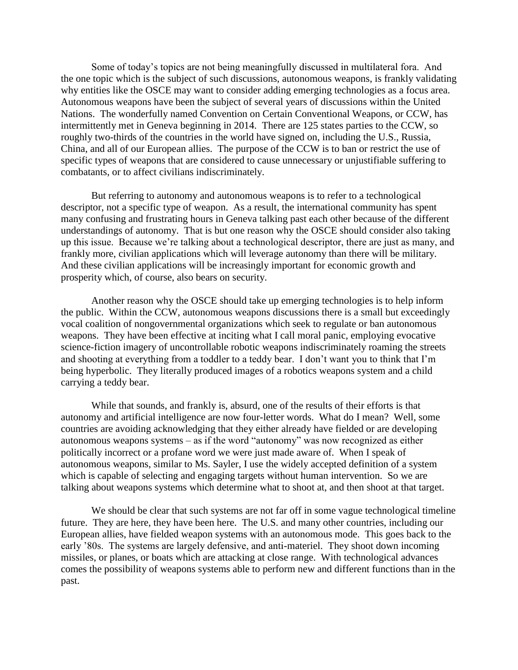Some of today's topics are not being meaningfully discussed in multilateral fora. And the one topic which is the subject of such discussions, autonomous weapons, is frankly validating why entities like the OSCE may want to consider adding emerging technologies as a focus area. Autonomous weapons have been the subject of several years of discussions within the United Nations. The wonderfully named Convention on Certain Conventional Weapons, or CCW, has intermittently met in Geneva beginning in 2014. There are 125 states parties to the CCW, so roughly two-thirds of the countries in the world have signed on, including the U.S., Russia, China, and all of our European allies. The purpose of the CCW is to ban or restrict the use of specific types of weapons that are considered to cause unnecessary or unjustifiable suffering to combatants, or to affect civilians indiscriminately.

But referring to autonomy and autonomous weapons is to refer to a technological descriptor, not a specific type of weapon. As a result, the international community has spent many confusing and frustrating hours in Geneva talking past each other because of the different understandings of autonomy. That is but one reason why the OSCE should consider also taking up this issue. Because we're talking about a technological descriptor, there are just as many, and frankly more, civilian applications which will leverage autonomy than there will be military. And these civilian applications will be increasingly important for economic growth and prosperity which, of course, also bears on security.

Another reason why the OSCE should take up emerging technologies is to help inform the public. Within the CCW, autonomous weapons discussions there is a small but exceedingly vocal coalition of nongovernmental organizations which seek to regulate or ban autonomous weapons. They have been effective at inciting what I call moral panic, employing evocative science-fiction imagery of uncontrollable robotic weapons indiscriminately roaming the streets and shooting at everything from a toddler to a teddy bear. I don't want you to think that I'm being hyperbolic. They literally produced images of a robotics weapons system and a child carrying a teddy bear.

While that sounds, and frankly is, absurd, one of the results of their efforts is that autonomy and artificial intelligence are now four-letter words. What do I mean? Well, some countries are avoiding acknowledging that they either already have fielded or are developing autonomous weapons systems – as if the word "autonomy" was now recognized as either politically incorrect or a profane word we were just made aware of. When I speak of autonomous weapons, similar to Ms. Sayler, I use the widely accepted definition of a system which is capable of selecting and engaging targets without human intervention. So we are talking about weapons systems which determine what to shoot at, and then shoot at that target.

We should be clear that such systems are not far off in some vague technological timeline future. They are here, they have been here. The U.S. and many other countries, including our European allies, have fielded weapon systems with an autonomous mode. This goes back to the early '80s. The systems are largely defensive, and anti-materiel. They shoot down incoming missiles, or planes, or boats which are attacking at close range. With technological advances comes the possibility of weapons systems able to perform new and different functions than in the past.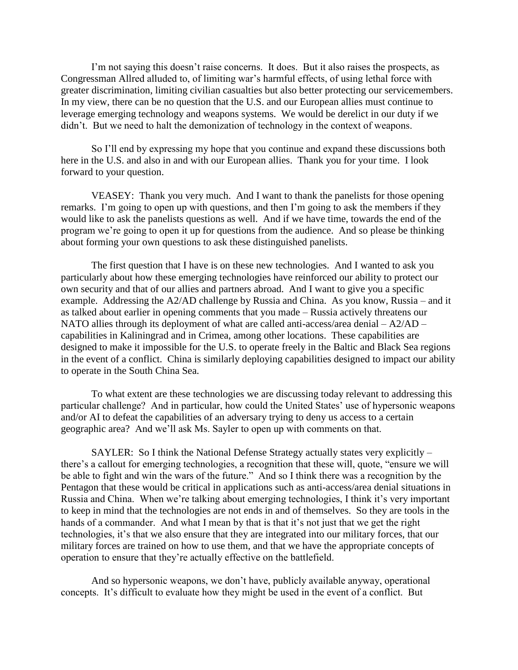I'm not saying this doesn't raise concerns. It does. But it also raises the prospects, as Congressman Allred alluded to, of limiting war's harmful effects, of using lethal force with greater discrimination, limiting civilian casualties but also better protecting our servicemembers. In my view, there can be no question that the U.S. and our European allies must continue to leverage emerging technology and weapons systems. We would be derelict in our duty if we didn't. But we need to halt the demonization of technology in the context of weapons.

So I'll end by expressing my hope that you continue and expand these discussions both here in the U.S. and also in and with our European allies. Thank you for your time. I look forward to your question.

VEASEY: Thank you very much. And I want to thank the panelists for those opening remarks. I'm going to open up with questions, and then I'm going to ask the members if they would like to ask the panelists questions as well. And if we have time, towards the end of the program we're going to open it up for questions from the audience. And so please be thinking about forming your own questions to ask these distinguished panelists.

The first question that I have is on these new technologies. And I wanted to ask you particularly about how these emerging technologies have reinforced our ability to protect our own security and that of our allies and partners abroad. And I want to give you a specific example. Addressing the A2/AD challenge by Russia and China. As you know, Russia – and it as talked about earlier in opening comments that you made – Russia actively threatens our NATO allies through its deployment of what are called anti-access/area denial – A2/AD – capabilities in Kaliningrad and in Crimea, among other locations. These capabilities are designed to make it impossible for the U.S. to operate freely in the Baltic and Black Sea regions in the event of a conflict. China is similarly deploying capabilities designed to impact our ability to operate in the South China Sea.

To what extent are these technologies we are discussing today relevant to addressing this particular challenge? And in particular, how could the United States' use of hypersonic weapons and/or AI to defeat the capabilities of an adversary trying to deny us access to a certain geographic area? And we'll ask Ms. Sayler to open up with comments on that.

SAYLER: So I think the National Defense Strategy actually states very explicitly – there's a callout for emerging technologies, a recognition that these will, quote, "ensure we will be able to fight and win the wars of the future." And so I think there was a recognition by the Pentagon that these would be critical in applications such as anti-access/area denial situations in Russia and China. When we're talking about emerging technologies, I think it's very important to keep in mind that the technologies are not ends in and of themselves. So they are tools in the hands of a commander. And what I mean by that is that it's not just that we get the right technologies, it's that we also ensure that they are integrated into our military forces, that our military forces are trained on how to use them, and that we have the appropriate concepts of operation to ensure that they're actually effective on the battlefield.

And so hypersonic weapons, we don't have, publicly available anyway, operational concepts. It's difficult to evaluate how they might be used in the event of a conflict. But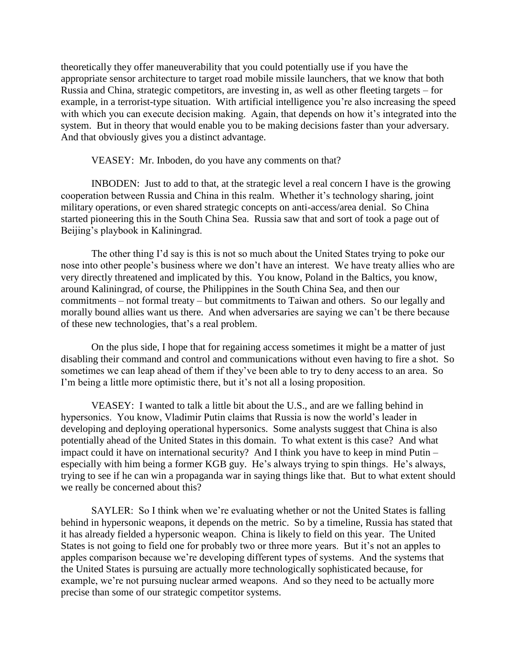theoretically they offer maneuverability that you could potentially use if you have the appropriate sensor architecture to target road mobile missile launchers, that we know that both Russia and China, strategic competitors, are investing in, as well as other fleeting targets – for example, in a terrorist-type situation. With artificial intelligence you're also increasing the speed with which you can execute decision making. Again, that depends on how it's integrated into the system. But in theory that would enable you to be making decisions faster than your adversary. And that obviously gives you a distinct advantage.

VEASEY: Mr. Inboden, do you have any comments on that?

INBODEN: Just to add to that, at the strategic level a real concern I have is the growing cooperation between Russia and China in this realm. Whether it's technology sharing, joint military operations, or even shared strategic concepts on anti-access/area denial. So China started pioneering this in the South China Sea. Russia saw that and sort of took a page out of Beijing's playbook in Kaliningrad.

The other thing I'd say is this is not so much about the United States trying to poke our nose into other people's business where we don't have an interest. We have treaty allies who are very directly threatened and implicated by this. You know, Poland in the Baltics, you know, around Kaliningrad, of course, the Philippines in the South China Sea, and then our commitments – not formal treaty – but commitments to Taiwan and others. So our legally and morally bound allies want us there. And when adversaries are saying we can't be there because of these new technologies, that's a real problem.

On the plus side, I hope that for regaining access sometimes it might be a matter of just disabling their command and control and communications without even having to fire a shot. So sometimes we can leap ahead of them if they've been able to try to deny access to an area. So I'm being a little more optimistic there, but it's not all a losing proposition.

VEASEY: I wanted to talk a little bit about the U.S., and are we falling behind in hypersonics. You know, Vladimir Putin claims that Russia is now the world's leader in developing and deploying operational hypersonics. Some analysts suggest that China is also potentially ahead of the United States in this domain. To what extent is this case? And what impact could it have on international security? And I think you have to keep in mind Putin – especially with him being a former KGB guy. He's always trying to spin things. He's always, trying to see if he can win a propaganda war in saying things like that. But to what extent should we really be concerned about this?

SAYLER: So I think when we're evaluating whether or not the United States is falling behind in hypersonic weapons, it depends on the metric. So by a timeline, Russia has stated that it has already fielded a hypersonic weapon. China is likely to field on this year. The United States is not going to field one for probably two or three more years. But it's not an apples to apples comparison because we're developing different types of systems. And the systems that the United States is pursuing are actually more technologically sophisticated because, for example, we're not pursuing nuclear armed weapons. And so they need to be actually more precise than some of our strategic competitor systems.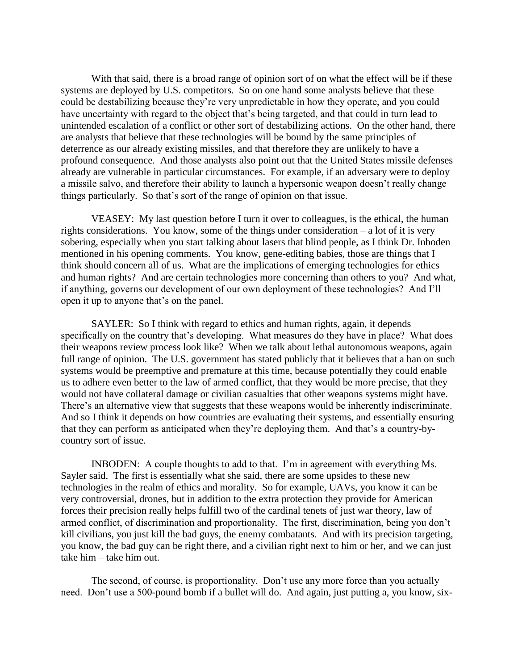With that said, there is a broad range of opinion sort of on what the effect will be if these systems are deployed by U.S. competitors. So on one hand some analysts believe that these could be destabilizing because they're very unpredictable in how they operate, and you could have uncertainty with regard to the object that's being targeted, and that could in turn lead to unintended escalation of a conflict or other sort of destabilizing actions. On the other hand, there are analysts that believe that these technologies will be bound by the same principles of deterrence as our already existing missiles, and that therefore they are unlikely to have a profound consequence. And those analysts also point out that the United States missile defenses already are vulnerable in particular circumstances. For example, if an adversary were to deploy a missile salvo, and therefore their ability to launch a hypersonic weapon doesn't really change things particularly. So that's sort of the range of opinion on that issue.

VEASEY: My last question before I turn it over to colleagues, is the ethical, the human rights considerations. You know, some of the things under consideration – a lot of it is very sobering, especially when you start talking about lasers that blind people, as I think Dr. Inboden mentioned in his opening comments. You know, gene-editing babies, those are things that I think should concern all of us. What are the implications of emerging technologies for ethics and human rights? And are certain technologies more concerning than others to you? And what, if anything, governs our development of our own deployment of these technologies? And I'll open it up to anyone that's on the panel.

SAYLER: So I think with regard to ethics and human rights, again, it depends specifically on the country that's developing. What measures do they have in place? What does their weapons review process look like? When we talk about lethal autonomous weapons, again full range of opinion. The U.S. government has stated publicly that it believes that a ban on such systems would be preemptive and premature at this time, because potentially they could enable us to adhere even better to the law of armed conflict, that they would be more precise, that they would not have collateral damage or civilian casualties that other weapons systems might have. There's an alternative view that suggests that these weapons would be inherently indiscriminate. And so I think it depends on how countries are evaluating their systems, and essentially ensuring that they can perform as anticipated when they're deploying them. And that's a country-bycountry sort of issue.

INBODEN: A couple thoughts to add to that. I'm in agreement with everything Ms. Sayler said. The first is essentially what she said, there are some upsides to these new technologies in the realm of ethics and morality. So for example, UAVs, you know it can be very controversial, drones, but in addition to the extra protection they provide for American forces their precision really helps fulfill two of the cardinal tenets of just war theory, law of armed conflict, of discrimination and proportionality. The first, discrimination, being you don't kill civilians, you just kill the bad guys, the enemy combatants. And with its precision targeting, you know, the bad guy can be right there, and a civilian right next to him or her, and we can just take him – take him out.

The second, of course, is proportionality. Don't use any more force than you actually need. Don't use a 500-pound bomb if a bullet will do. And again, just putting a, you know, six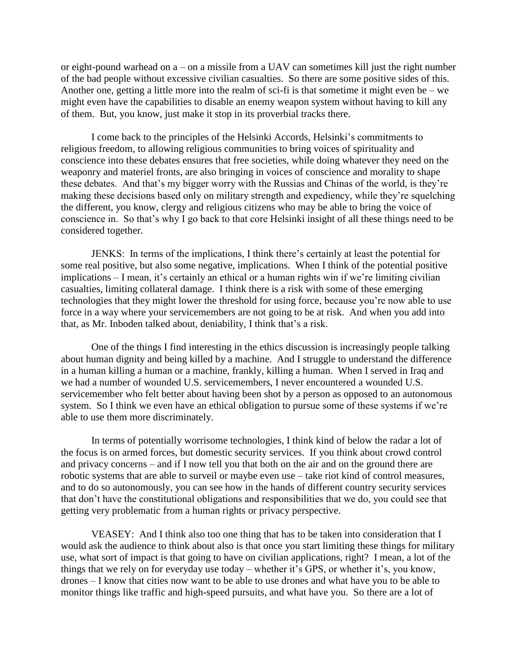or eight-pound warhead on a – on a missile from a UAV can sometimes kill just the right number of the bad people without excessive civilian casualties. So there are some positive sides of this. Another one, getting a little more into the realm of sci-fi is that sometime it might even be – we might even have the capabilities to disable an enemy weapon system without having to kill any of them. But, you know, just make it stop in its proverbial tracks there.

I come back to the principles of the Helsinki Accords, Helsinki's commitments to religious freedom, to allowing religious communities to bring voices of spirituality and conscience into these debates ensures that free societies, while doing whatever they need on the weaponry and materiel fronts, are also bringing in voices of conscience and morality to shape these debates. And that's my bigger worry with the Russias and Chinas of the world, is they're making these decisions based only on military strength and expediency, while they're squelching the different, you know, clergy and religious citizens who may be able to bring the voice of conscience in. So that's why I go back to that core Helsinki insight of all these things need to be considered together.

JENKS: In terms of the implications, I think there's certainly at least the potential for some real positive, but also some negative, implications. When I think of the potential positive implications – I mean, it's certainly an ethical or a human rights win if we're limiting civilian casualties, limiting collateral damage. I think there is a risk with some of these emerging technologies that they might lower the threshold for using force, because you're now able to use force in a way where your servicemembers are not going to be at risk. And when you add into that, as Mr. Inboden talked about, deniability, I think that's a risk.

One of the things I find interesting in the ethics discussion is increasingly people talking about human dignity and being killed by a machine. And I struggle to understand the difference in a human killing a human or a machine, frankly, killing a human. When I served in Iraq and we had a number of wounded U.S. servicemembers, I never encountered a wounded U.S. servicemember who felt better about having been shot by a person as opposed to an autonomous system. So I think we even have an ethical obligation to pursue some of these systems if we're able to use them more discriminately.

In terms of potentially worrisome technologies, I think kind of below the radar a lot of the focus is on armed forces, but domestic security services. If you think about crowd control and privacy concerns – and if I now tell you that both on the air and on the ground there are robotic systems that are able to surveil or maybe even use – take riot kind of control measures, and to do so autonomously, you can see how in the hands of different country security services that don't have the constitutional obligations and responsibilities that we do, you could see that getting very problematic from a human rights or privacy perspective.

VEASEY: And I think also too one thing that has to be taken into consideration that I would ask the audience to think about also is that once you start limiting these things for military use, what sort of impact is that going to have on civilian applications, right? I mean, a lot of the things that we rely on for everyday use today – whether it's GPS, or whether it's, you know, drones – I know that cities now want to be able to use drones and what have you to be able to monitor things like traffic and high-speed pursuits, and what have you. So there are a lot of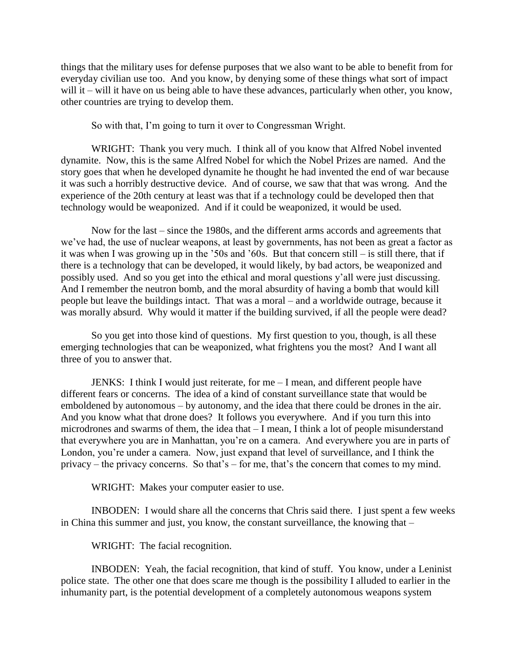things that the military uses for defense purposes that we also want to be able to benefit from for everyday civilian use too. And you know, by denying some of these things what sort of impact will it – will it have on us being able to have these advances, particularly when other, you know, other countries are trying to develop them.

So with that, I'm going to turn it over to Congressman Wright.

WRIGHT: Thank you very much. I think all of you know that Alfred Nobel invented dynamite. Now, this is the same Alfred Nobel for which the Nobel Prizes are named. And the story goes that when he developed dynamite he thought he had invented the end of war because it was such a horribly destructive device. And of course, we saw that that was wrong. And the experience of the 20th century at least was that if a technology could be developed then that technology would be weaponized. And if it could be weaponized, it would be used.

Now for the last – since the 1980s, and the different arms accords and agreements that we've had, the use of nuclear weapons, at least by governments, has not been as great a factor as it was when I was growing up in the '50s and '60s. But that concern still – is still there, that if there is a technology that can be developed, it would likely, by bad actors, be weaponized and possibly used. And so you get into the ethical and moral questions y'all were just discussing. And I remember the neutron bomb, and the moral absurdity of having a bomb that would kill people but leave the buildings intact. That was a moral – and a worldwide outrage, because it was morally absurd. Why would it matter if the building survived, if all the people were dead?

So you get into those kind of questions. My first question to you, though, is all these emerging technologies that can be weaponized, what frightens you the most? And I want all three of you to answer that.

JENKS: I think I would just reiterate, for me – I mean, and different people have different fears or concerns. The idea of a kind of constant surveillance state that would be emboldened by autonomous – by autonomy, and the idea that there could be drones in the air. And you know what that drone does? It follows you everywhere. And if you turn this into microdrones and swarms of them, the idea that – I mean, I think a lot of people misunderstand that everywhere you are in Manhattan, you're on a camera. And everywhere you are in parts of London, you're under a camera. Now, just expand that level of surveillance, and I think the privacy – the privacy concerns. So that's – for me, that's the concern that comes to my mind.

WRIGHT: Makes your computer easier to use.

INBODEN: I would share all the concerns that Chris said there. I just spent a few weeks in China this summer and just, you know, the constant surveillance, the knowing that –

WRIGHT: The facial recognition.

INBODEN: Yeah, the facial recognition, that kind of stuff. You know, under a Leninist police state. The other one that does scare me though is the possibility I alluded to earlier in the inhumanity part, is the potential development of a completely autonomous weapons system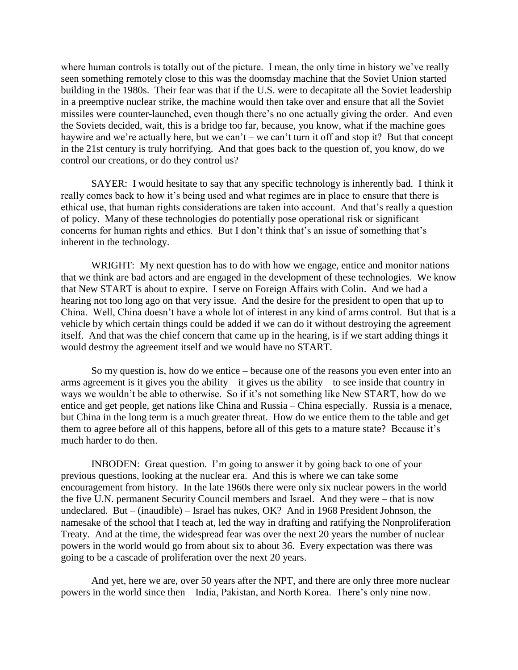where human controls is totally out of the picture. I mean, the only time in history we've really seen something remotely close to this was the doomsday machine that the Soviet Union started building in the 1980s. Their fear was that if the U.S. were to decapitate all the Soviet leadership in a preemptive nuclear strike, the machine would then take over and ensure that all the Soviet missiles were counter-launched, even though there's no one actually giving the order. And even the Soviets decided, wait, this is a bridge too far, because, you know, what if the machine goes haywire and we're actually here, but we can't – we can't turn it off and stop it? But that concept in the 21st century is truly horrifying. And that goes back to the question of, you know, do we control our creations, or do they control us?

SAYER: I would hesitate to say that any specific technology is inherently bad. I think it really comes back to how it's being used and what regimes are in place to ensure that there is ethical use, that human rights considerations are taken into account. And that's really a question of policy. Many of these technologies do potentially pose operational risk or significant concerns for human rights and ethics. But I don't think that's an issue of something that's inherent in the technology.

WRIGHT: My next question has to do with how we engage, entice and monitor nations that we think are bad actors and are engaged in the development of these technologies. We know that New START is about to expire. I serve on Foreign Affairs with Colin. And we had a hearing not too long ago on that very issue. And the desire for the president to open that up to China. Well, China doesn't have a whole lot of interest in any kind of arms control. But that is a vehicle by which certain things could be added if we can do it without destroying the agreement itself. And that was the chief concern that came up in the hearing, is if we start adding things it would destroy the agreement itself and we would have no START.

So my question is, how do we entice – because one of the reasons you even enter into an arms agreement is it gives you the ability – it gives us the ability – to see inside that country in ways we wouldn't be able to otherwise. So if it's not something like New START, how do we entice and get people, get nations like China and Russia – China especially. Russia is a menace, but China in the long term is a much greater threat. How do we entice them to the table and get them to agree before all of this happens, before all of this gets to a mature state? Because it's much harder to do then.

INBODEN: Great question. I'm going to answer it by going back to one of your previous questions, looking at the nuclear era. And this is where we can take some encouragement from history. In the late 1960s there were only six nuclear powers in the world – the five U.N. permanent Security Council members and Israel. And they were – that is now undeclared. But – (inaudible) – Israel has nukes, OK? And in 1968 President Johnson, the namesake of the school that I teach at, led the way in drafting and ratifying the Nonproliferation Treaty. And at the time, the widespread fear was over the next 20 years the number of nuclear powers in the world would go from about six to about 36. Every expectation was there was going to be a cascade of proliferation over the next 20 years.

And yet, here we are, over 50 years after the NPT, and there are only three more nuclear powers in the world since then – India, Pakistan, and North Korea. There's only nine now.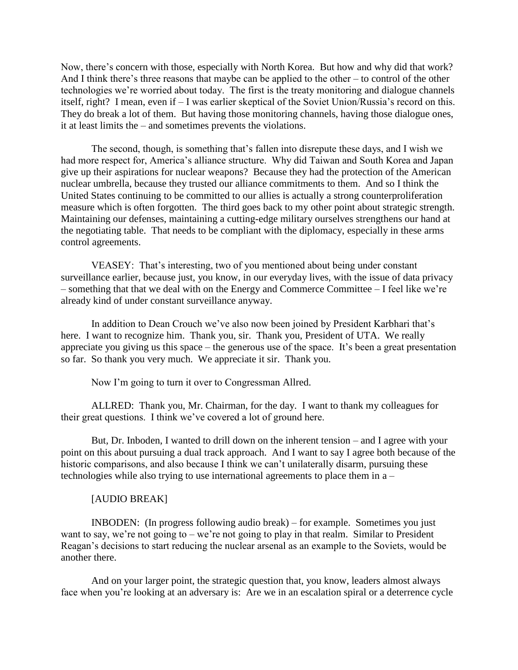Now, there's concern with those, especially with North Korea. But how and why did that work? And I think there's three reasons that maybe can be applied to the other – to control of the other technologies we're worried about today. The first is the treaty monitoring and dialogue channels itself, right? I mean, even if – I was earlier skeptical of the Soviet Union/Russia's record on this. They do break a lot of them. But having those monitoring channels, having those dialogue ones, it at least limits the – and sometimes prevents the violations.

The second, though, is something that's fallen into disrepute these days, and I wish we had more respect for, America's alliance structure. Why did Taiwan and South Korea and Japan give up their aspirations for nuclear weapons? Because they had the protection of the American nuclear umbrella, because they trusted our alliance commitments to them. And so I think the United States continuing to be committed to our allies is actually a strong counterproliferation measure which is often forgotten. The third goes back to my other point about strategic strength. Maintaining our defenses, maintaining a cutting-edge military ourselves strengthens our hand at the negotiating table. That needs to be compliant with the diplomacy, especially in these arms control agreements.

VEASEY: That's interesting, two of you mentioned about being under constant surveillance earlier, because just, you know, in our everyday lives, with the issue of data privacy – something that that we deal with on the Energy and Commerce Committee – I feel like we're already kind of under constant surveillance anyway.

In addition to Dean Crouch we've also now been joined by President Karbhari that's here. I want to recognize him. Thank you, sir. Thank you, President of UTA. We really appreciate you giving us this space – the generous use of the space. It's been a great presentation so far. So thank you very much. We appreciate it sir. Thank you.

Now I'm going to turn it over to Congressman Allred.

ALLRED: Thank you, Mr. Chairman, for the day. I want to thank my colleagues for their great questions. I think we've covered a lot of ground here.

But, Dr. Inboden, I wanted to drill down on the inherent tension – and I agree with your point on this about pursuing a dual track approach. And I want to say I agree both because of the historic comparisons, and also because I think we can't unilaterally disarm, pursuing these technologies while also trying to use international agreements to place them in a –

## [AUDIO BREAK]

INBODEN: (In progress following audio break) – for example. Sometimes you just want to say, we're not going to – we're not going to play in that realm. Similar to President Reagan's decisions to start reducing the nuclear arsenal as an example to the Soviets, would be another there.

And on your larger point, the strategic question that, you know, leaders almost always face when you're looking at an adversary is: Are we in an escalation spiral or a deterrence cycle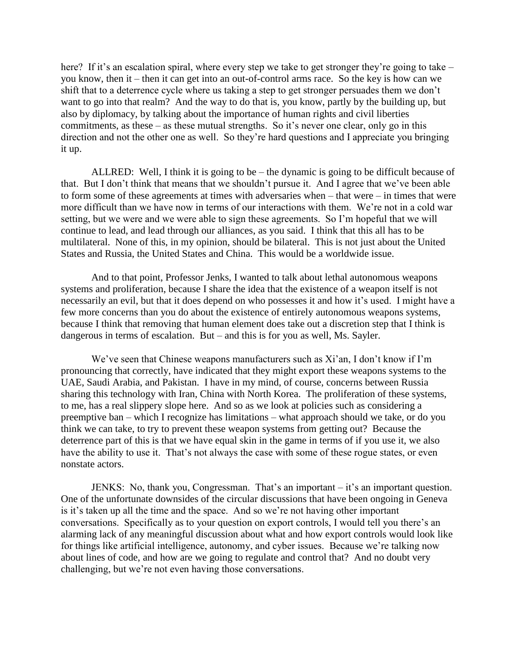here? If it's an escalation spiral, where every step we take to get stronger they're going to take – you know, then it – then it can get into an out-of-control arms race. So the key is how can we shift that to a deterrence cycle where us taking a step to get stronger persuades them we don't want to go into that realm? And the way to do that is, you know, partly by the building up, but also by diplomacy, by talking about the importance of human rights and civil liberties commitments, as these – as these mutual strengths. So it's never one clear, only go in this direction and not the other one as well. So they're hard questions and I appreciate you bringing it up.

ALLRED: Well, I think it is going to be – the dynamic is going to be difficult because of that. But I don't think that means that we shouldn't pursue it. And I agree that we've been able to form some of these agreements at times with adversaries when – that were – in times that were more difficult than we have now in terms of our interactions with them. We're not in a cold war setting, but we were and we were able to sign these agreements. So I'm hopeful that we will continue to lead, and lead through our alliances, as you said. I think that this all has to be multilateral. None of this, in my opinion, should be bilateral. This is not just about the United States and Russia, the United States and China. This would be a worldwide issue.

And to that point, Professor Jenks, I wanted to talk about lethal autonomous weapons systems and proliferation, because I share the idea that the existence of a weapon itself is not necessarily an evil, but that it does depend on who possesses it and how it's used. I might have a few more concerns than you do about the existence of entirely autonomous weapons systems, because I think that removing that human element does take out a discretion step that I think is dangerous in terms of escalation. But – and this is for you as well, Ms. Sayler.

We've seen that Chinese weapons manufacturers such as Xi'an, I don't know if I'm pronouncing that correctly, have indicated that they might export these weapons systems to the UAE, Saudi Arabia, and Pakistan. I have in my mind, of course, concerns between Russia sharing this technology with Iran, China with North Korea. The proliferation of these systems, to me, has a real slippery slope here. And so as we look at policies such as considering a preemptive ban – which I recognize has limitations – what approach should we take, or do you think we can take, to try to prevent these weapon systems from getting out? Because the deterrence part of this is that we have equal skin in the game in terms of if you use it, we also have the ability to use it. That's not always the case with some of these rogue states, or even nonstate actors.

JENKS: No, thank you, Congressman. That's an important – it's an important question. One of the unfortunate downsides of the circular discussions that have been ongoing in Geneva is it's taken up all the time and the space. And so we're not having other important conversations. Specifically as to your question on export controls, I would tell you there's an alarming lack of any meaningful discussion about what and how export controls would look like for things like artificial intelligence, autonomy, and cyber issues. Because we're talking now about lines of code, and how are we going to regulate and control that? And no doubt very challenging, but we're not even having those conversations.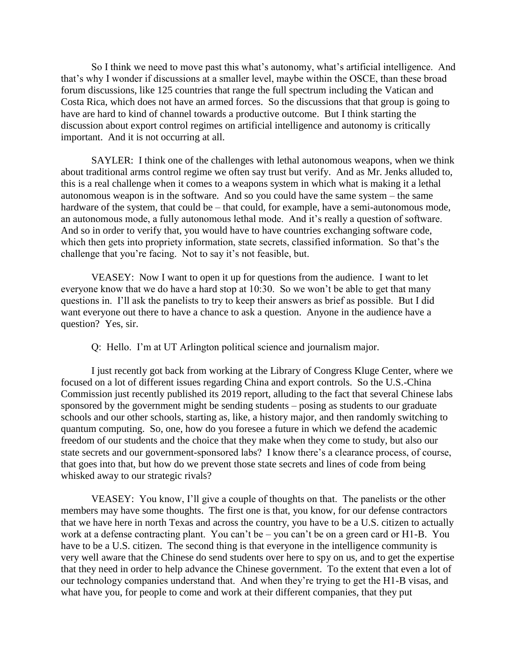So I think we need to move past this what's autonomy, what's artificial intelligence. And that's why I wonder if discussions at a smaller level, maybe within the OSCE, than these broad forum discussions, like 125 countries that range the full spectrum including the Vatican and Costa Rica, which does not have an armed forces. So the discussions that that group is going to have are hard to kind of channel towards a productive outcome. But I think starting the discussion about export control regimes on artificial intelligence and autonomy is critically important. And it is not occurring at all.

SAYLER: I think one of the challenges with lethal autonomous weapons, when we think about traditional arms control regime we often say trust but verify. And as Mr. Jenks alluded to, this is a real challenge when it comes to a weapons system in which what is making it a lethal autonomous weapon is in the software. And so you could have the same system – the same hardware of the system, that could be – that could, for example, have a semi-autonomous mode, an autonomous mode, a fully autonomous lethal mode. And it's really a question of software. And so in order to verify that, you would have to have countries exchanging software code, which then gets into propriety information, state secrets, classified information. So that's the challenge that you're facing. Not to say it's not feasible, but.

VEASEY: Now I want to open it up for questions from the audience. I want to let everyone know that we do have a hard stop at 10:30. So we won't be able to get that many questions in. I'll ask the panelists to try to keep their answers as brief as possible. But I did want everyone out there to have a chance to ask a question. Anyone in the audience have a question? Yes, sir.

Q: Hello. I'm at UT Arlington political science and journalism major.

I just recently got back from working at the Library of Congress Kluge Center, where we focused on a lot of different issues regarding China and export controls. So the U.S.-China Commission just recently published its 2019 report, alluding to the fact that several Chinese labs sponsored by the government might be sending students – posing as students to our graduate schools and our other schools, starting as, like, a history major, and then randomly switching to quantum computing. So, one, how do you foresee a future in which we defend the academic freedom of our students and the choice that they make when they come to study, but also our state secrets and our government-sponsored labs? I know there's a clearance process, of course, that goes into that, but how do we prevent those state secrets and lines of code from being whisked away to our strategic rivals?

VEASEY: You know, I'll give a couple of thoughts on that. The panelists or the other members may have some thoughts. The first one is that, you know, for our defense contractors that we have here in north Texas and across the country, you have to be a U.S. citizen to actually work at a defense contracting plant. You can't be – you can't be on a green card or H1-B. You have to be a U.S. citizen. The second thing is that everyone in the intelligence community is very well aware that the Chinese do send students over here to spy on us, and to get the expertise that they need in order to help advance the Chinese government. To the extent that even a lot of our technology companies understand that. And when they're trying to get the H1-B visas, and what have you, for people to come and work at their different companies, that they put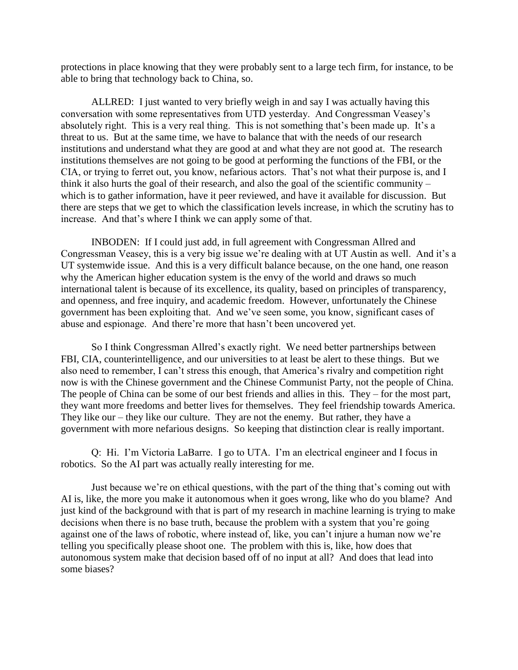protections in place knowing that they were probably sent to a large tech firm, for instance, to be able to bring that technology back to China, so.

ALLRED: I just wanted to very briefly weigh in and say I was actually having this conversation with some representatives from UTD yesterday. And Congressman Veasey's absolutely right. This is a very real thing. This is not something that's been made up. It's a threat to us. But at the same time, we have to balance that with the needs of our research institutions and understand what they are good at and what they are not good at. The research institutions themselves are not going to be good at performing the functions of the FBI, or the CIA, or trying to ferret out, you know, nefarious actors. That's not what their purpose is, and I think it also hurts the goal of their research, and also the goal of the scientific community  $$ which is to gather information, have it peer reviewed, and have it available for discussion. But there are steps that we get to which the classification levels increase, in which the scrutiny has to increase. And that's where I think we can apply some of that.

INBODEN: If I could just add, in full agreement with Congressman Allred and Congressman Veasey, this is a very big issue we're dealing with at UT Austin as well. And it's a UT systemwide issue. And this is a very difficult balance because, on the one hand, one reason why the American higher education system is the envy of the world and draws so much international talent is because of its excellence, its quality, based on principles of transparency, and openness, and free inquiry, and academic freedom. However, unfortunately the Chinese government has been exploiting that. And we've seen some, you know, significant cases of abuse and espionage. And there're more that hasn't been uncovered yet.

So I think Congressman Allred's exactly right. We need better partnerships between FBI, CIA, counterintelligence, and our universities to at least be alert to these things. But we also need to remember, I can't stress this enough, that America's rivalry and competition right now is with the Chinese government and the Chinese Communist Party, not the people of China. The people of China can be some of our best friends and allies in this. They – for the most part, they want more freedoms and better lives for themselves. They feel friendship towards America. They like our – they like our culture. They are not the enemy. But rather, they have a government with more nefarious designs. So keeping that distinction clear is really important.

Q: Hi. I'm Victoria LaBarre. I go to UTA. I'm an electrical engineer and I focus in robotics. So the AI part was actually really interesting for me.

Just because we're on ethical questions, with the part of the thing that's coming out with AI is, like, the more you make it autonomous when it goes wrong, like who do you blame? And just kind of the background with that is part of my research in machine learning is trying to make decisions when there is no base truth, because the problem with a system that you're going against one of the laws of robotic, where instead of, like, you can't injure a human now we're telling you specifically please shoot one. The problem with this is, like, how does that autonomous system make that decision based off of no input at all? And does that lead into some biases?